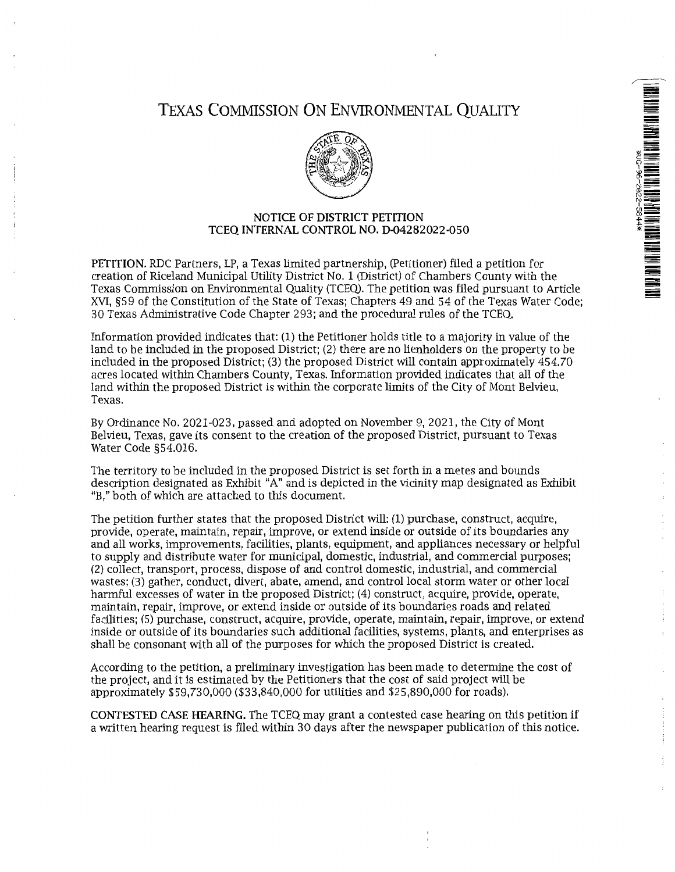

# TEXAS COMMISSION ON ENVIRONMENTAL QUALITY



## NOTICE OF DISTRICT PETITION TCEQ INTERNAL CONTROL NO. D-04282022-050

PETITION. RDC Partners, LP, a Texas limited partnership, (Petitioner) filed a petition for creation of Riceland Municipal Utility District No. 1 (District) of Chambers County with the Texas Commission on Environmental Quality (TCEQ). The petition was filed pursuant to Article XVI, §59 of the Constitution of the State of Texas; Chapters 49 and 54 of the Texas Water Code; 30 Texas Administrative Code Chapter 293; and the procedural rules of the TCEQ.

Information provided indicates that: (1) the Petitioner holds title to a majority in value of the land to be included in the proposed District; (2) there are no lienholders on the property to be included in the proposed District; (3) the proposed District will contain approximately 454.70 acres located within Chambers County, Texas. Information provided indicates that all of the land within the proposed District is within the corporate limits of the City of Mont Belvieu, Texas.

By Ordinance No. 2021-023, passed and adopted on November 9, 2021, the City of Mont Belvieu, Texas, gave its consent to the creation of the proposed District, pursuant to Texas Water Code §54.016.

The territory to be included in the proposed District is set forth in a metes and bounds description designated as Exhibit "A" and is depicted in the vicinity map designated as Exhibit "B," both of which are attached to this document.

The petition further states that the proposed District will: (1) purchase, construct, acquire, provide, operate, maintain, repair, improve, or extend inside or outside of its boundaries any and all works, improvements, facilities, plants, equipment, and appliances necessary or helpful to supply and distribute water for municipal, domestic, industrial, and commercial purposes; (2) collect, transport, process, dispose of and control domestic, industrial, and commercial wastes; (3) gather, conduct, divert, abate, amend, and control local storm water or other local harmful excesses of water in the proposed District; (4) construct, acquire, provide, operate, maintain, repair, improve, or extend inside or outside of its boundaries roads and related facilities; (5) purchase, construct, acquire, provide, operate, maintain, repair, improve, or extend inside or outside of its boundaries such additional facilities, systems, plants, and enterprises as shall be consonant with all of the purposes for which the proposed District is created.

According to the petition, a preliminary investigation has been made to determine the cost of the project, and it is estimated by the Petitioners that the cost of said project will be approximately \$59,730,000 (\$33,840,000 for utilities and \$25,890,000 for roads).

CONTESTED CASE HEARING. The TCEQ may grant a contested case hearing on this petition if a written hearing request is filed within 30 days after the newspaper publication of this notice.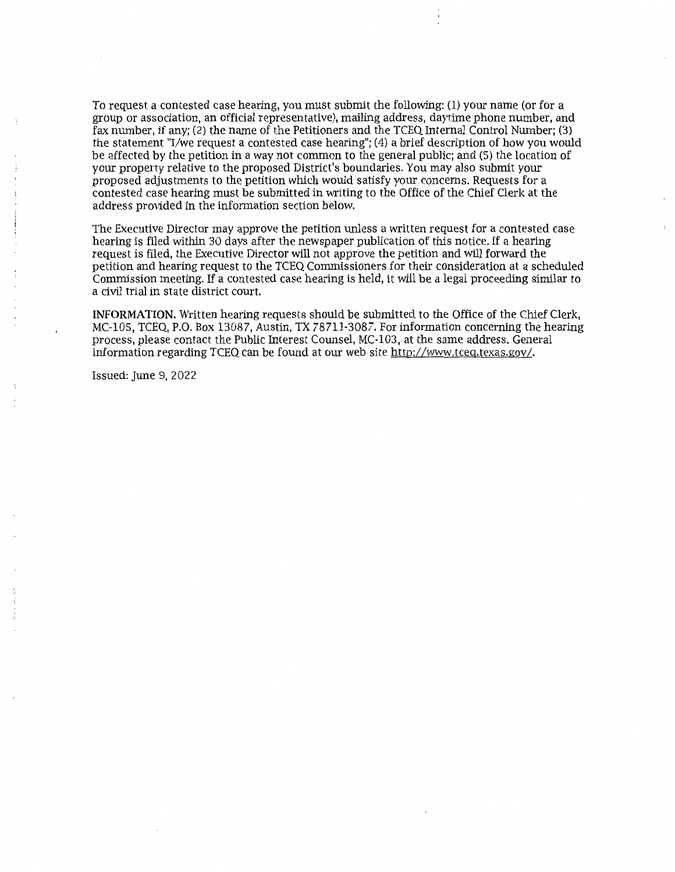To request a contested case hearing, you must submit the following: (1) your name (or for a group or association, an official representative), mailing address, daytime phone number, and fax. number, if any; (2) the name of the Petitioners and the TCEQ Internal Control Number; (3) the statement "I/we request a contested case hearing"; (4) a brief description of how you would be affected by the petition in a way not common to the general public; and (5) the location of your property relative to the proposed District's boundaries. You may also submit your proposed adjustments to the petition which would satisfy your concerns. Requests for a contested case hearing must be submitted in writing to the Office of the Chief Clerk at the address provided in the information section below.

The Executive Director may approve the petition unless a written request for a contested case hearing is filed within 30 days after the newspaper publication of this notice. If a hearing request is filed, the Executive Director will not approve the petition and will forward the petition and hearing request to the TCEQ Commissioners for their consideration at a scheduled Commission meeting. If a contested case hearing is held, it will be a legal proceeding similar to a civil trial in state district court.

**INFORMATION.** Written hearing requests should be submitted to the Office of the Chief Clerk, MC-105, TCEQ, P.O. Box 13087, Austin, TX 78711-3087. For information concerning the hearing process, please contact the Public Interest Counsel, MC-103, at the same address. General information regarding TCEQ can be found at our web site http://www.tceg.texas.gov /.

Issued: June 9, 2022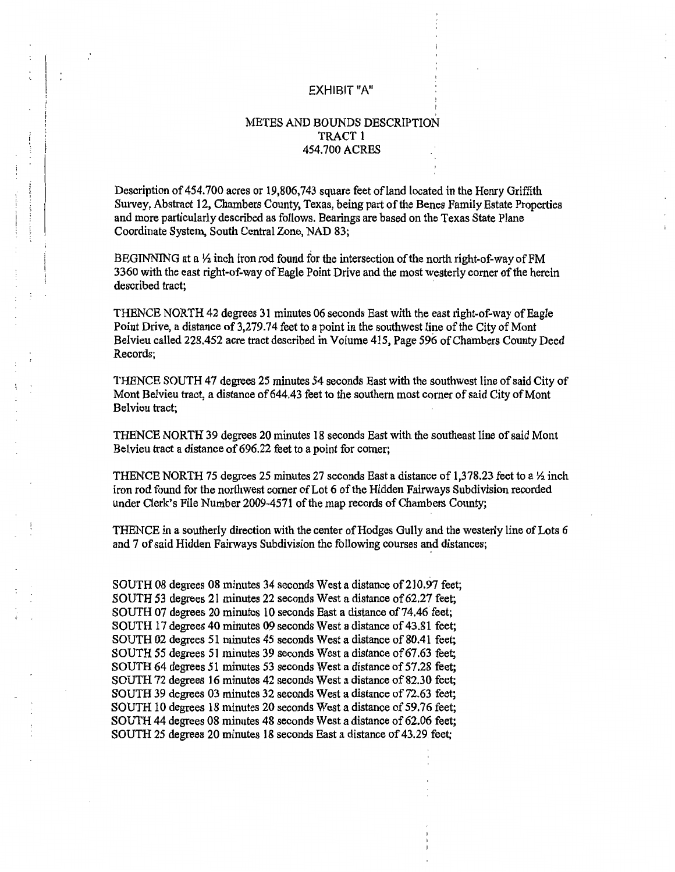#### EXHIBIT"A"

# METES AND BOUNDS DESCRIPTION TRACT 1 454.700 ACRES

Description of 454.700 acres or 19,806,743 square feet of land located in the Henry Griffith Survey, Abstract 12, Chambers County, Texas, being part of the Benes Family Estate Properties and more particularly described as follows. Bearings are based on the Texas State Plane Coordinate System, South Central Zone, NAD 83;

ţ

BEGINNING at a  $\frac{1}{2}$  inch iron rod found for the intersection of the north right-of-way of FM 3360 with the east right-of-way of Eagle Point Drive and the most westerly comer of the herein described tract;

THENCE NORTH 42 degrees 31 minutes 06 seconds East with the east right-of-way of Eagle Point Drive, a distance of 3,279.74 feet to a point in the southwest line of the City of Mont Belvieu called 228.452 acre tract described in Volume 415, Page 596 of Chambers County Deed Records;

THENCE SOUTH 47 degrees 25 minutes 54 seconds East with the southwest line of said City of Mont Belvieu tract, a distance of 644.43 feet to the southern most corner of said City of Mont Belvieu tract;

THENCE NORTH 39 degrees 20 minutes 18 seconds East with the southeast line of said Mont Belvieu tract a distance of 696.22 feet to a point for corner;

THENCE NORTH 75 degrees 25 minutes 27 seconds East a distance of 1,378.23 feet to a  $\frac{1}{2}$  inch iron rod found for the northwest corner of Lot 6 of the Hidden Fairways Subdivision recorded under Clerk's File Number 2009-4571 of the map records of Chambers County;

THENCE in a southerly direction with the center of Hodges Gully and the westerly line of Lots 6 and 7 of said Hidden Fairways Subdivision the following courses and distances;

SOUTH 08 degrees 08 minutes 34 seconds West a distance of 210.97 feet; SOUTH 53 degrees 21 minutes 22 seconds West a distance of 62.27 feet; SOUTH 07 degrees 20 minutes 10 seconds East a distance of 74.46 feet; SOUTH 17 degrees 40 minutes 09 seconds West a distance of 43.81 feet; SOUTH 02 degrees 51 minutes 45 seconds West a distance of 80.41 feet; SOUTH *55* degrees 51 minutes 39 seconds West a distance of 67.63 feet; SOUTH 64 degrees 51 minutes 53 seconds West a distance of 57.28 feet; SOUTH 72 degrees 16 minutes 42 seconds West a distance of 82.30 feet; SOUTH 39 degrees 03 minutes 32 seconds West a distance of 72.63 feet; SOUTH 10 degrees 18 minutes 20 seconds West a distance of 59.76 feet; SOUTH 44 degrees 08 minutes 48 seconds West a distance of 62.06 feet; SOUTH 25 degrees 20 minutes 18 seconds East a distance of 43.29 feet;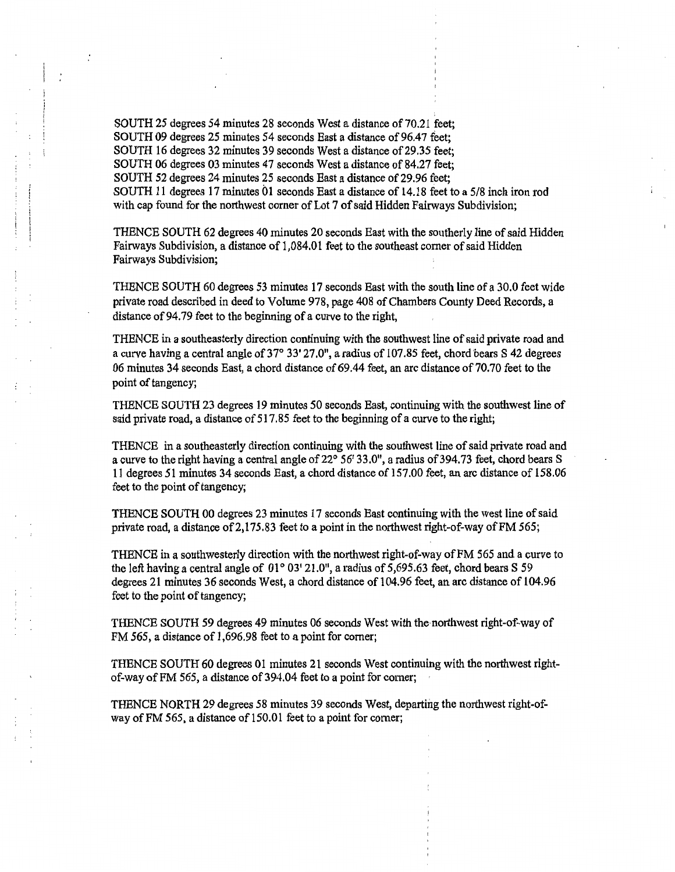SOUTH 25 degrees 54 minutes 28 seconds West a distance of 70.21 feet; SOUTH 09 degrees 25 minutes 54 seconds East a distance of 96.47 feet; SOUTH 16 degrees 32 minutes 39 seconds West a distance of 29.35 feet; SOUTH 06 degrees 03 minutes 47 seconds West a distance of 84.27 feet; SOUTH 52 degrees 24 minutes 25 seconds East a distance of 29.96 feet; SOUTH 11 degrees 17 minutes 01 seconds East a distance of 14.18 feet to a 5/8 inch iron rod with cap found for the northwest corner of Lot 7 of said Hidden Fairways Subdivision;

 $\cdot$ 

THENCE SOUTH 62 degrees 40 minutes 20 seconds East with the southerly line of said Hidden Fairways Subdivision, a distance of 1,084.01 feet to the southeast comer of said Hidden Fairways Subdivision;

THENCE SOUTH 60 degrees 53 minutes 17 seconds East with the south line of a 30.0 feet wide private road described in deed to Volume 978, page 408 of Chambers County Deed Records, a distance of 94.79 feet to the beginning of a curve to the right,

THENCE in a southeasterly direction continuing with the southwest line of said private road and a curve having a central angle of 37° 33' 27.0", a radius of 107.85 feet, chord bears S 42 degrees 06 minutes 34 seconds East, a chord distance of 69.44 feet, an arc distance of 70.70 feet to the point of tangency;

THENCE SOUTH 23 degrees 19 minutes 50 seconds East, continuing with the southwest line of said private road, a distance of 517.85 feet to the beginning of a curve to the right;

THENCE in a southeasterly direction continuing with the southwest line of said private road and a curve to the right having a central angle of  $22^{\circ}$  56' 33.0", a radius of 394.73 feet, chord bears S 11 degrees 51 minutes 34 seconds East, a chord distance of 157.00 feet, an arc distance of 158.06 feet to the point of tangency;

THENCE SOUTH 00 degrees 23 minutes 17 seconds East continuing with the west line of said private road, a distance of 2,175.83 feet to a point in the northwest right-of-way of FM 565;

THENCE in a southwesterly direction with the northwest right-of-way ofFM 565 and a curve to the left having a central angle of  $01^{\circ} 03' 21.0$ ", a radius of 5,695.63 feet, chord bears S 59 degrees 21 minutes 36 seconds West, a chord distance of 104.96 feet, an arc distance of 104.96 feet to the point of tangency;

THENCE SOUTH 59 degrees 49 minutes 06 seconds West with the· northwest right-of-way of FM 565, a distance of 1,696.98 feet to a point for comer;

THENCE SOUTH 60 degrees 01 minutes 21 seconds West continuing with the northwest rightof-way of FM 565, a distance of 394.04 feet to a point for corner;

THENCE NORTH 29 degrees 58 minutes 39 seconds West, departing the northwest right-ofway of FM 565, a distance of 150.01 feet to a point for corner;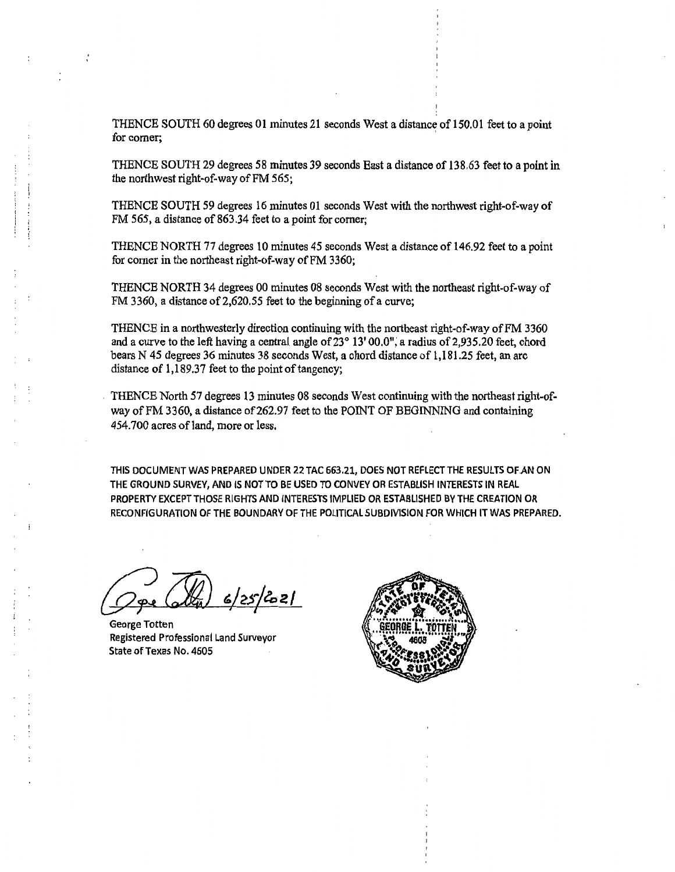THENCE SOUTH 60 degrees 01 minutes 21 seconds West a distance of 150.01 feet to a point for corner;

THENCE SOUTH 29 degrees 58 minutes 39 seconds East a distance of 138.63 feet to a point in the northwest right-of-way of FM 565;

THENCE SOUTH 59 degrees 16 minutes 01 seconds West with the northwest right-of-way of FM 565, a distance of 863.34 feet to a point for corner;

THENCE NORTH 77 degrees 10 minutes 45 seconds West a distance of 146.92 feet to a point for comer in the northeast right-of-way ofFM 3360;

THENCE NORTH 34 degrees 00 minutes 08 seconds West with the northeast right-of-way of FM 3 360, a distance of 2,620.5 *5* feet to the beginning of a curve;

THENCE in a northwesterly direction continuing with the northeast right-of-way of FM 3360 and a curve to the left having a central angle of 23° 13' 00.0", a radius of 2,935.20 feet, chord bears N 45 degrees 36 minutes 3 8 seconds West, a chord distance of 1,181.25 feet, an arc distance of  $1,189.37$  feet to the point of tangency;

THENCE North 57 degrees 13 minutes 08 seconds West continuing with the northeast right-ofway of FM 3360, a distance of 262.97 feet to the POINT OF BEGINNING and containing 454.700 acres of land, more or less.

THIS DOCUMENT WAS PREPARED UNDER 22 TAC 663,21, DOES NOT REFLECT THE RESULTS OF.AN ON THE GROUND SURVEY, AND IS NOT TO BE USED TO CONVEY OR ESTABLISH INTERESTS IN REAL PROPERTY EXCEPT THOSE RIGHTS AND INTERESTS IMPLIED OR ESTABLISHED BV THE CREATION OR RECONFIGURATION OF THE BOUNDARY OF THE POLITICAL SUBDIVISION FOR WHICH IT WAS PREPARED.

<u> 6/25/2021 </u>

I .

George Totten Registered Professional Land Surveyor State of Texas No. 4605

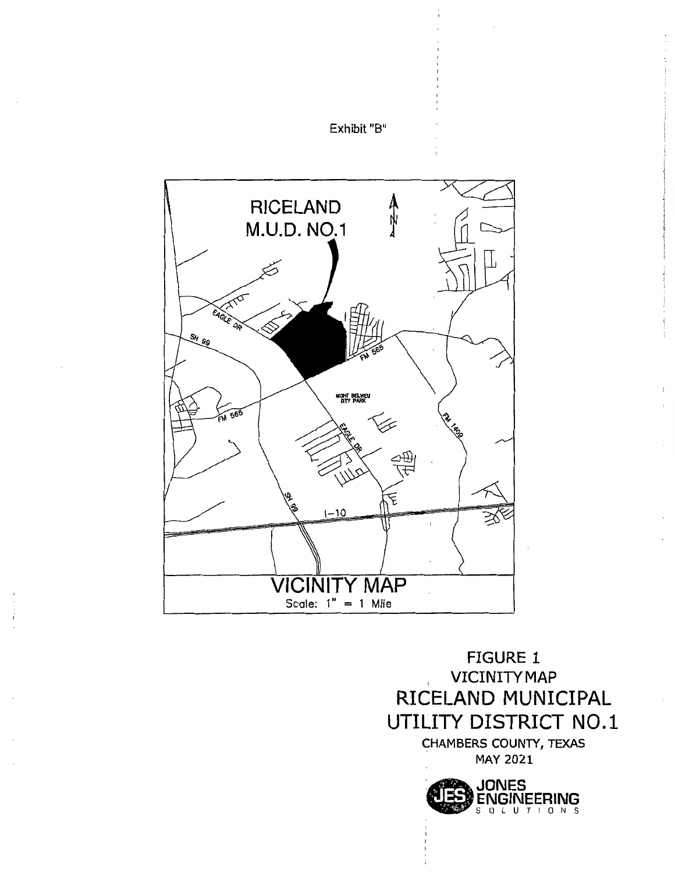

Exhibit "B"

FIGURE 1 VICINITY MAP RICELAND MUNICIPAL UTILITY DISTRICT N0.1 CHAMBERS COUNTY, TEXAS MAY 2021

> **CIES JONES**<br>ENGINEERING LINGINLLMING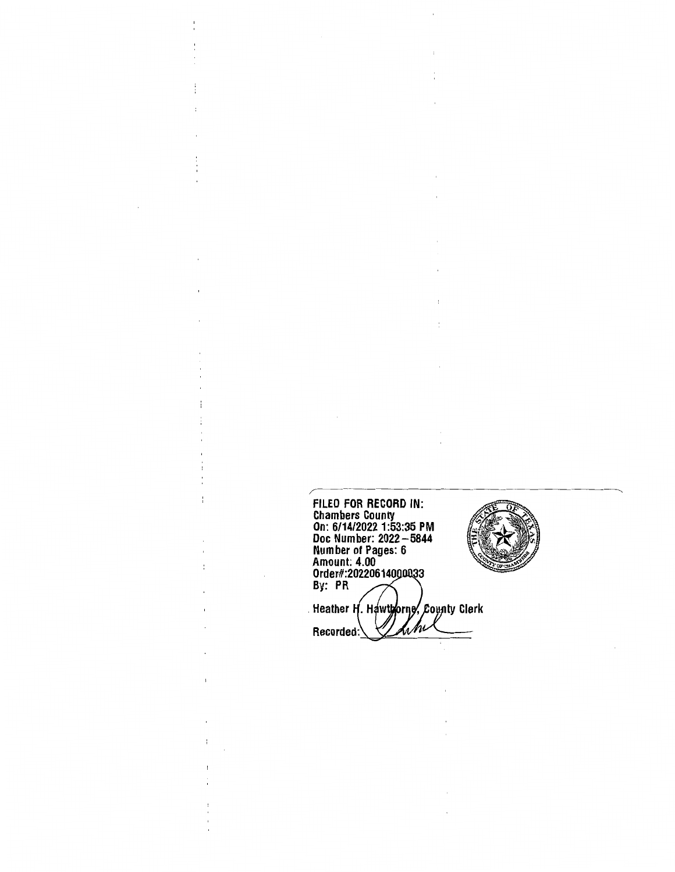FILED FOR RECORD IN: Chambers County On: 6/14/2022 1:53:35 PM Doc Number: 2022-5844 Number of Pages: 6 Amount: 4.00 Order#:202206140 By: PR Heather H. Hawthorne, County Clerk hhi Recorded:

ï ł.

 $\overline{\mathbf{r}}$ 

÷

i,

 $\overline{\phantom{a}}$ 

 $\frac{1}{1}$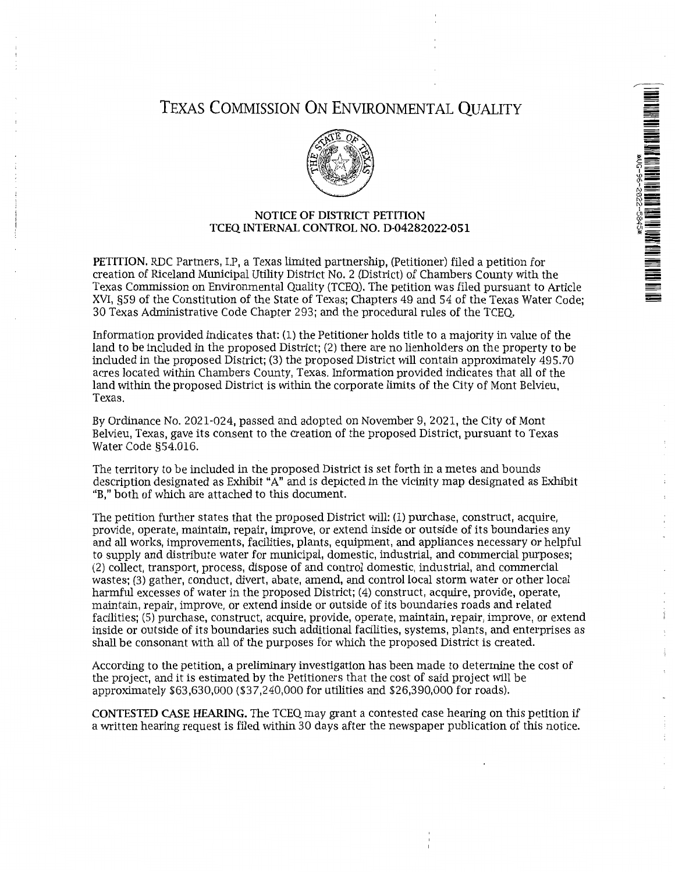

# TEXAS COMMISSION ON ENVIRONMENTAL QUALITY



# NOTICE OF DISTRICT PETITION TCEQ INTERNAL CONTROL NO. D-04282022-051

PETITION. RDC Partners, LP, a Texas limited partnership, (Petitioner) filed a petition for creation of Riceland Municipal Utility District No. 2 (District) of Chambers County with the Texas Commission on Environmental Quality (TCEQ). The petition was filed pursuant to Article XVI, §59 of the Constitution of the State of Texas; Chapters 49 and 54 of the Texas Water Code; 30 Texas Administrative Code Chapter 293; and the procedural rules of the TCEQ.

Information provided indicates that: (1) the Petitioner holds title to a majority in value of the land to be included in the proposed District; (2) there are no lienholders on the property to be included in the proposed District; (3) the proposed District will contain approximately 495.70 acres located within Chambers County, Texas. Information provided indicates that all of the land within the proposed District is within the corporate limits of the City of Mont Belvieu, Texas.

By Ordinance No. 2021-024, passed and adopted on November 9, 2021, the City of Mont Belvieu, Texas, gave its consent to the creation of the proposed District, pursuant to Texas Water Code §54.016.

The territory to be included in the proposed District is set forth in a metes and bounds description designated as Exhibit "A" and is depicted in the vicinity map designated as Exhibit "B," both of which are attached to this document.

The petition further states that the proposed District will: (1) purchase, construct, acquire, provide, operate, maintain, repair, improve, or extend inside or outside of its boundaries any and all works, improvements, facilities, plants, equipment, and appliances necessary or helpful to supply and distribute water for municipal, domestic, industrial, and commercial purposes; (2) collect, transport, process, dispose of and control domestic, industrial, and commercial wastes; (3) gather, conduct, divert, abate, amend, and control local storm water or other local harmful excesses of water in the proposed District; (4) construct, acquire, provide, operate, maintain, repair, improve, or extend inside or outside of its boundaries roads and related facilities; (5) purchase, construct, acquire, provide, operate, maintain, repair, improve, or extend inside or outside of its boundaries such additional facilities, systems, plants, and enterprises as shall be consonant with all of the purposes for which the proposed District is created.

According to the petition, a preliminary investigation has been made to determine the cost of the project, and it is estimated by the Petitioners that the cost of said project will be approximately \$63,630,000 (\$37,240,000 for utilities and \$26,390,000 for roads).

CONTESTED CASE HEARING. The TCEQ may grant a contested case hearing on this petition if a written hearing request is filed within 30 days after the newspaper publication of this notice.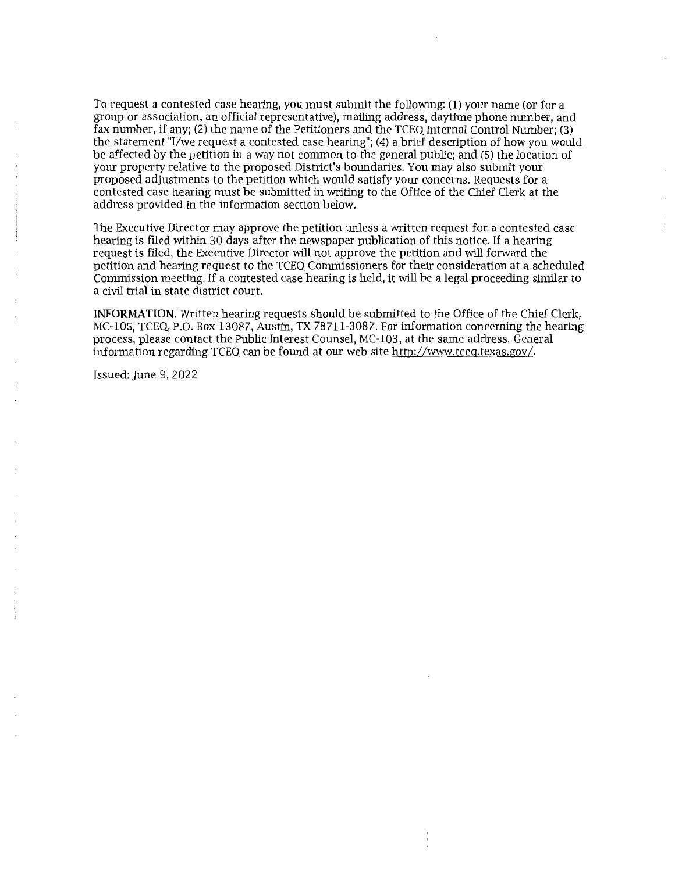To request a contested case hearing, you must submit the following: (1) your name (or for a group or association, an official representative), mailing address, daytime phone number, and fax number, if any; (2) the name of the Petitioners and the TCEQ Internal Control Number; (3) the statement "1/we request a contested case hearing"; (4) a brief description of how you would be affected by the petition in a way not common to the general public; and (5) the location of your property relative to the proposed District's boundaries. You may also submit your proposed adjustments to the petition which would satisfy your concerns. Requests for a contested case hearing must be submitted in writing to the Office of the Chief Clerk at the address provided in the information section below.

The Executive Director may approve the petition unless a written request for a contested case hearing is filed within 30 days after the newspaper publication of this notice. If a hearing request is filed, the Executive Director will not approve the petition and will forward the petition and hearing request to the TCEQ Commissioners for their consideration at a scheduled Commission meeting. If a contested case hearing is held, it will be a legal proceeding similar to a civil trial in state district court.

**INFORMATION.** Written hearing requests should be submitted to the Office of the Chief Clerk, MC-105, TCEQ, P.O. Box 13087, Austin, TX 78711-3087. For information concerning the hearing process, please contact the Public Interest Counsel, MC-103, at the same address. General information regarding TCEQ can be found at our web site http://www.tceq.texas.gov/.

Issued: June 9, 2022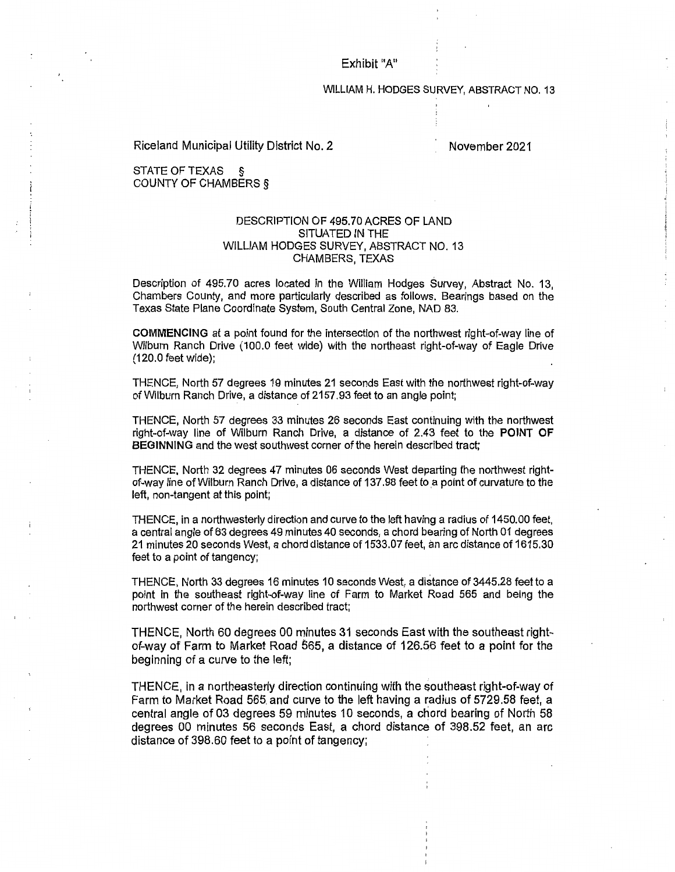Exhibit "A"

WILLIAM H. HODGES SURVEY, ABSTRACT NO. 13

Riceland Municipal Utility District No. 2

November 2021

STATE OF TEXAS COUNTY OF CHAMBERS §

## DESCRIPTION OF 495.70 ACRES OF LAND SITUATED IN THE WILLIAM HODGES SURVEY, ABSTRACT NO. 13 CHAMBERS, TEXAS

Description of 495.70 acres located in the William Hodges Survey, Abstract No. 13, Chambers County, and more particularly described as follows. Bearings based on the Texas State Plane Coordinate System, South Central Zone, NAD 83.

COMMENCING at a point found for the intersection of the northwest right-of-way line of Wilburn Ranch Drive (100.0 feet wide) with the northeast right-of-way of Eagle Drive (120.0 feet wide);

THENCE, North 57 degrees 19 minutes 21 seconds East with the northwest right-of-way of Wilburn Ranch Drive, a distance of 2157.93 feet to an angle point;

THENCE, North 57 degrees 33 minutes 26 seconds East continuing with the northwest right-of-way line of Wilburn Ranch Drive, a distance of 2.43 feet to the POINT OF BEGINNING and the west southwest corner of the herein described tract;

THENCE, North 32 degrees 47 minutes 06 seconds West departing the northwest rightof-way line of Wilburn Ranch Drive, a distance of 137.98 feet to a point of curvature to the left, non-tangent at this point;

THENCE, in a northwesterly direction and curve to the left having a radius of 1450.00 feet, a central angle of 63 degrees 49 minutes 40 seconds, a chord bearing of North 01 degrees 21 minutes 20 seconds West, a chord distance of 1533.07 feet, an arc distance of 1615.30 feet to a point of tangency;

THENCE, North 33 degrees 16 minutes 10 seconds West, a distance of 3445.28 feet to a point in the southeast right-of-way line of Farm to Market Road 565 and being the northwest corner of the herein described tract;

THENCE, North 60 degrees 00 minutes 31 seconds East with the southeast rightof-way of Farm to Market Road 565, a distance of 126.56 feet to a point for the beginning of a curve to the left;

THENCE, in a northeasterly direction continuing with the southeast right-of-way of Farm to Market Road 565. and curve to the left having a radius of 5729.58 feet, a central angle of 03 degrees 59 minutes 10 seconds, a chord bearing of North 58 degrees 00 minutes 56 seconds East, a chord distance of 398.52 feet, an arc distance of 398.60 feet to a point of tangency;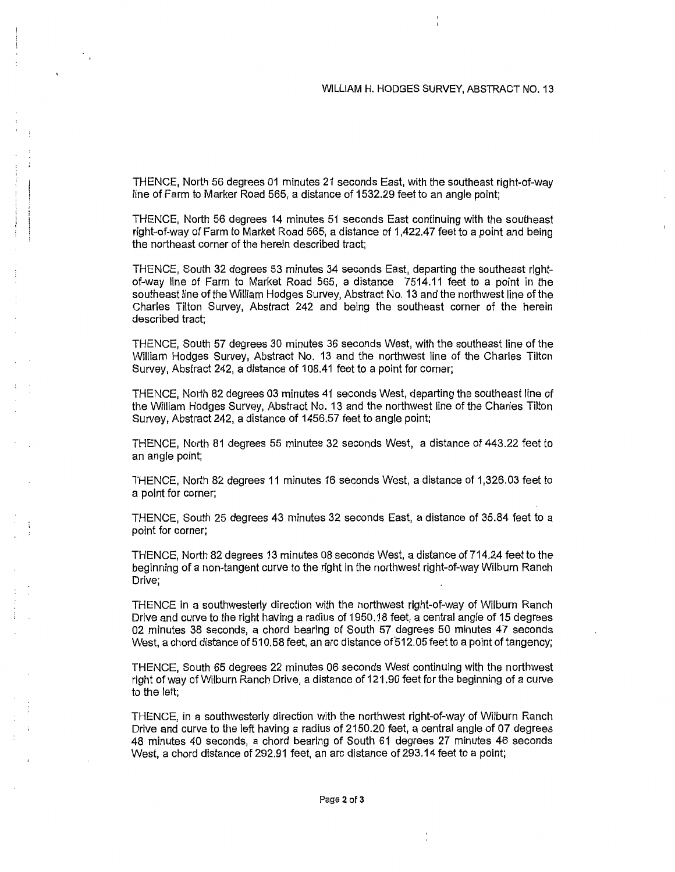THENCE, North 56 degrees 01 minutes 21 seconds East, with the southeast right-of-way line of Farm to Marker Road 565, a distance of 1532.29 feet to an angle point;

THENCE, North 56 degrees 14 minutes 51 seconds East continuing with the southeast right-of-way of Farm to Market Road 565, a distance of 1,422.47 feet to a point and being the northeast corner of the herein described tract;

THENCE, South 32 degrees 53 minutes 34 seconds East, departing the southeast rightof-way line of Farm to Market Road 565, a distance 7514.11 feet to a point in the southeast line of the William Hodges Survey, Abstract No. 13 and the northwest line of the Charles Tilton Survey, Abstract 242 and being the southeast corner of the herein described tract;

THENCE, South 57 degrees 30 minutes 36 seconds West, with the southeast line of the William Hodges Survey, Abstract No. 13 and the northwest line of the Charles Tilton Survey, Abstract 242, a distance of 108.41 feet to a point for corner;

THENCE, North 82 degrees 03 minutes 41 seconds West, departing the southeast line of the William Hodges Survey, Abstract No. 13 and the northwest line of the Charles Tilton Survey, Abstract 242, a distance of 1456.57 feet to angle point;

THENCE, North 81 degrees 55 minutes 32 seconds West, a distance of 443.22 feet to an angle point;

THENCE, North 82 degrees 11 minutes 16 seconds West, a distance of 1,326.03 feet to a point for corner;

THENCE, South 25 degrees 43 minutes 32 seconds East, a distance of 35.84 feet to a point for corner;

THENCE, North 82 degrees 13 minutes 08 seconds West, a distance of 714.24 feet to the beginning of a non-tangent curve to the right in the northwest right-of-way Wilburn Ranch Drive;

THENCE in a southwesterly direction with the northwest right-of-way of Wilburn Ranch Drive and curve to the right having a radius of 1950.18 feet, a central angle of 15 degrees 02 minutes 38 seconds, a chord bearing of South 57 degrees 50 minutes 47 seconds West, a chord distance of 510.58 feet, an arc distance of512.05 feet to a point of tangency;

THENCE, South 65 degrees 22 minutes 06 seconds West continuing with the northwest right of way of Wilburn Ranch Drive, a distance of 121.90 feet for the beginning of a curve to the left;

THENCE, in a southwesterly direction with the northwest right-of-way of Wilburn Ranch Drive and curve to the left having a radius of 2150.20 feet, a central angle of 07 degrees 48 minutes 40 seconds, a chord bearing of South 61 degrees 27 minutes 46 seconds West, a chord distance of 292.91 feet, an arc distance of 293.14 feet to a point;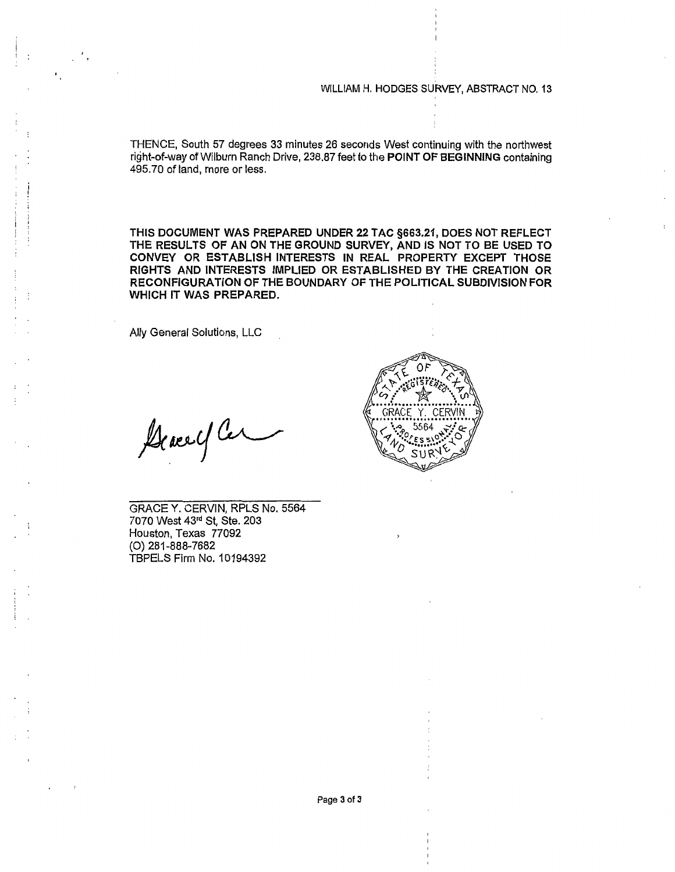WILLIAM H. HODGES SURVEY, ABSTRACT NO. 13

THENCE, South 57 degrees 33 minutes 26 seconds West continuing with the northwest right-of-way of Wilburn Ranch Drive, 238.87 feet to the POINT OF BEGINNING containing 495.70 of land, more or less.

THIS DOCUMENT WAS PREPARED UNDER 22 TAC §663.21, DOES NOT REFLECT THE RESULTS OF AN ON THE GROUND SURVEY, AND IS NOT TO BE USED TO CONVEY OR ESTABLISH INTERESTS IN REAL PROPERTY EXCEPT THOSE RIGHTS AND INTERESTS IMPLIED OR ESTABLISHED BY THE CREATION OR RECONFIGURATION OF THE BOUNDARY OF THE POLITICAL SUBDIVISION FOR WHICH IT WAS PREPARED.

Ally General Solutions, LLC

Acace y Cer

GRACEY. CERVIN, RPLS No. 5564 7070 West 43rd St, Ste. 203 Houston, Texas 77092 (O} 281-888-7682 TBPELS Firm No. 1 0194392

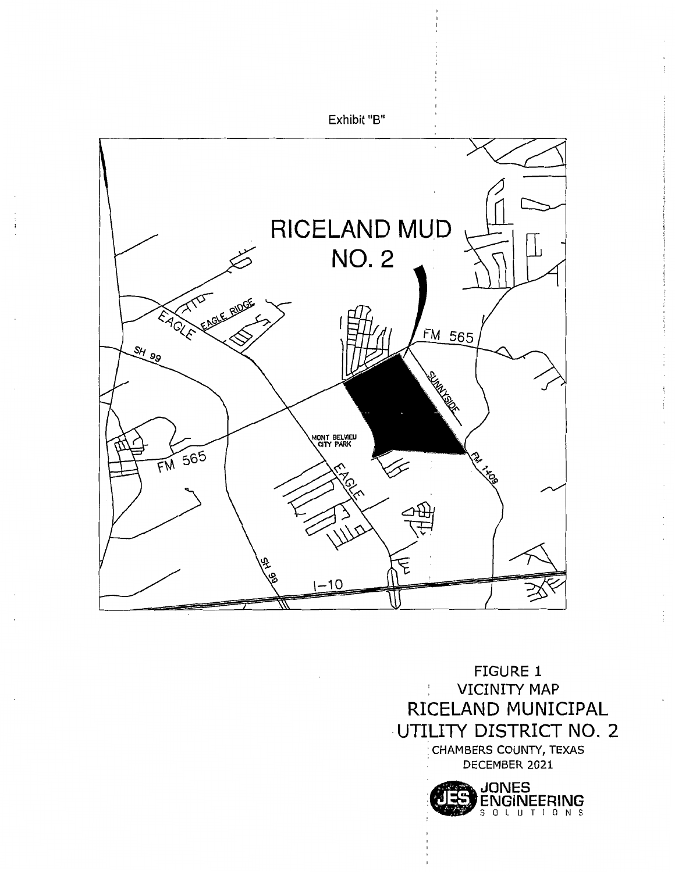

FIGURE 1 VICINITY MAP  $\Gamma$ RICELAND MUNICIPAL ·UTILITY DISTRICT NO. 2 CHAMBERS COUNTY, TEXAS DECEMBER 2021

> ~JONES ENGINEERING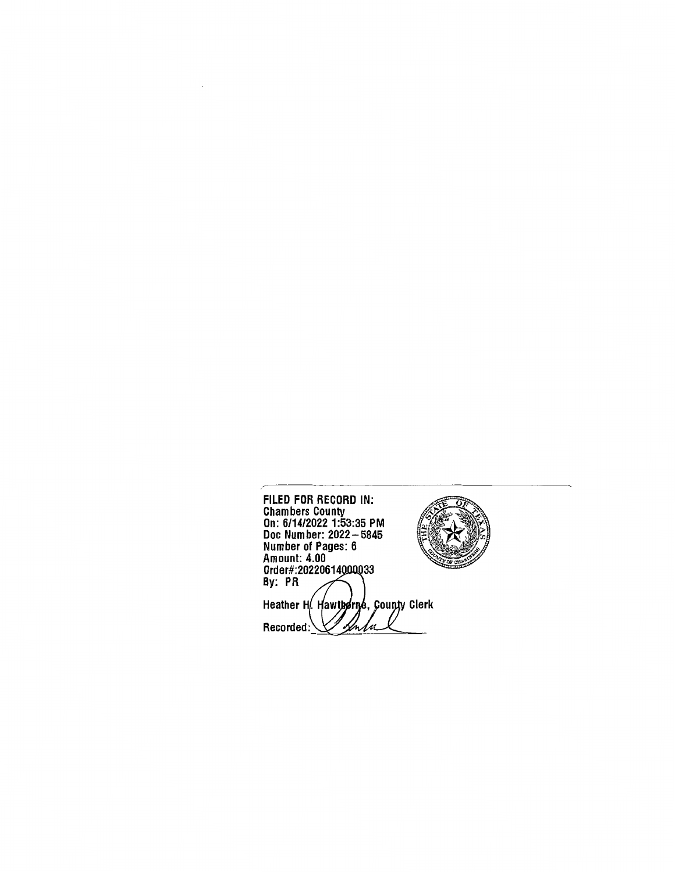FILED FOR RECORD IN: Chambers County On: 6/14/2022 1:53:35 PM Doc Number: 2022-5845 Number of Pages: 6 Amount: 4.00 Order#:20220614 By: PR Heather H. Hawthdrige, County Clerk Sentre Recorded:

 $\overline{a}$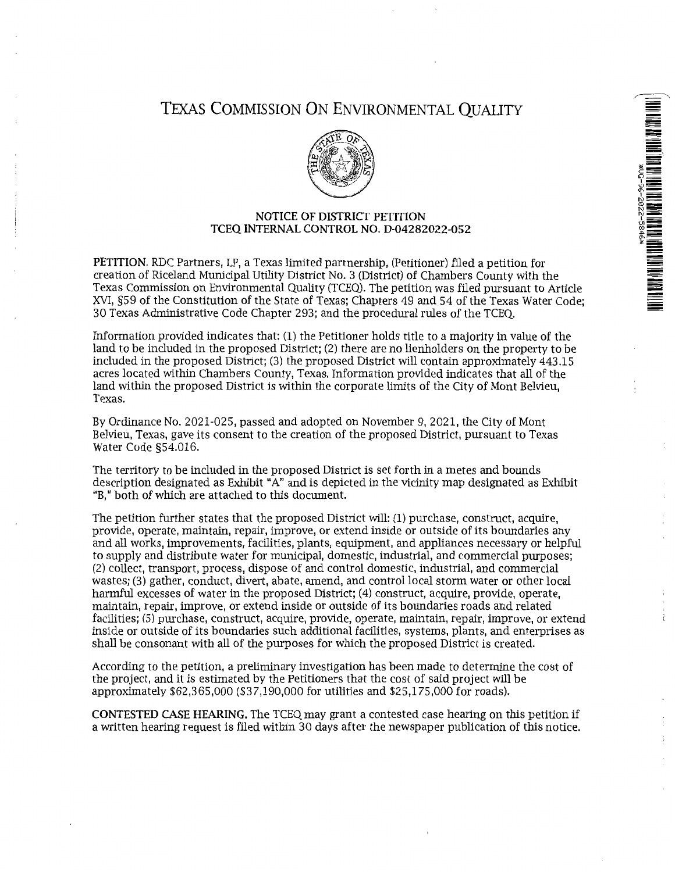# TEXAS COMMISSION ON ENVIRONMENTAL QUALITY



## NOTICE OF DISTRICT PETITION TCEQ INTERNAL CONTROL NO. D-04282022-052

PETITION. RDC Partners, LP, a Texas limited partnership, (Petitioner) filed a petition for creation of Riceland Municipal Utility District No. 3 (District) of Chambers County with the Texas Commission on Environmental Quality (TCEQ). The petition was filed pursuant to Article XVI, §59 of the Constitution of the State of Texas; Chapters 49 and 54 of the Texas Water Code; 30 Texas Administrative Code Chapter 293; and the procedural rules of the TCEQ.

Information provided indicates that: (1) the Petitioner holds title to a majority in value of the land to be included in the proposed District; (2) there are no lienholders on the property to be included in the proposed District; (3) the proposed District will contain approximately 443.15 acres located within Chambers County, Texas. Information provided indicates that all of the land within the proposed District is within the corporate limits of the City of Mont Belvieu, Texas.

By Ordinance No. 2021-025, passed and adopted on November 9, 2021, the City of Mont Belvieu, Texas, gave its consent to the creation of the proposed District, pursuant to Texas Water Code §54.016.

The territory to be included in the proposed District is set forth in a metes and bounds description designated as Exhibit "A" and is depicted in the vicinity map designated as Exhibit "B," both of which are attached to this document.

The petition further states that the proposed District will: (1) purchase, construct, acquire, provide, operate, maintain, repair, improve, or extend inside or outside of its boundaries any and all works, improvements, facilities, plants, equipment, and appliances necessary or helpful to supply and distribute water for municipal, domestic, industrial, and commercial purposes; (2) collect, transport, process, dispose of and control domestic, industrial, and commercial wastes; (3) gather, conduct, divert, abate, amend, and control local storm water or other local harmful excesses of water in the proposed District; (4) construct, acquire, provide, operate, maintain, repair, improve, or extend inside or outside of its boundaries roads and related facilities; (5) purchase, construct, acquire, provide, operate, maintain, repair, improve, or extend inside or outside of its boundaries such additional facilities, systems, plants, and enterprises as shall be consonant with all of the purposes for which the proposed District is created.

According to the petition, a preliminary investigation has been made to determine the cost of the project, and it is estimated by the Petitioners that the cost of said project will be approximately \$62,365,000 (\$37,190,000 for utilities and \$25,175,000 for roads).

CONTESTED CASE HEARING. The TCEQ may grant a contested case hearing on this petition if a written hearing request is filed within 30 days after the newspaper publication of this notice.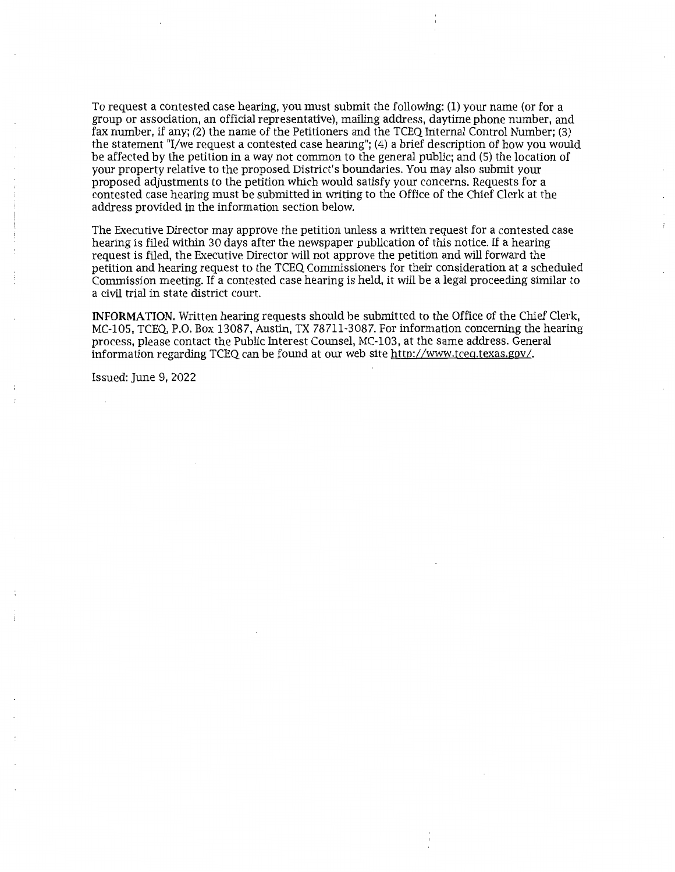To request a contested case hearing, you must submit the following: (1) your name (or for a group or association, an official representative), mailing address, daytime phone number, and fax number, if any; (2) the name of the Petitioners and the TCEQ Internal Control Number; (3) the statement "I/we request a contested case hearing"; (4) a brief description of how you would be affected by the petition in a way not common to the general public; and (5) the location of your property relative to the proposed District's boundaries. You may also submit your proposed adjustments to the petition which would satisfy your concerns. Requests for a contested case hearing must be submitted in writing to the Office of the Chief Clerk at the address provided in the information section below.

The Executive Director may approve the petition unless a written request for a contested case hearing is filed within 30 days after the newspaper publication of this notice. If a hearing request is filed, the Executive Director will not approve the petition and will forward the petition and hearing request to the TCEQ Commissioners for their consideration at a scheduled Commission meeting. If a contested case hearing is held, it will be a legal proceeding similar to a civil trial in state district court.

**INFORMATION.** Written hearing requests should be submitted to the Office of the Chief Clerk, MC-105, TCEQ, P.O. Box 13087, Austin, TX 78711-3087. For information concerning the hearing process, please contact the Public Interest Counsel, MC-103, at the same address. General information regarding TCEQ can be found at our web site http://www.tceq.texas.gov/.

Issued: June 9, 2022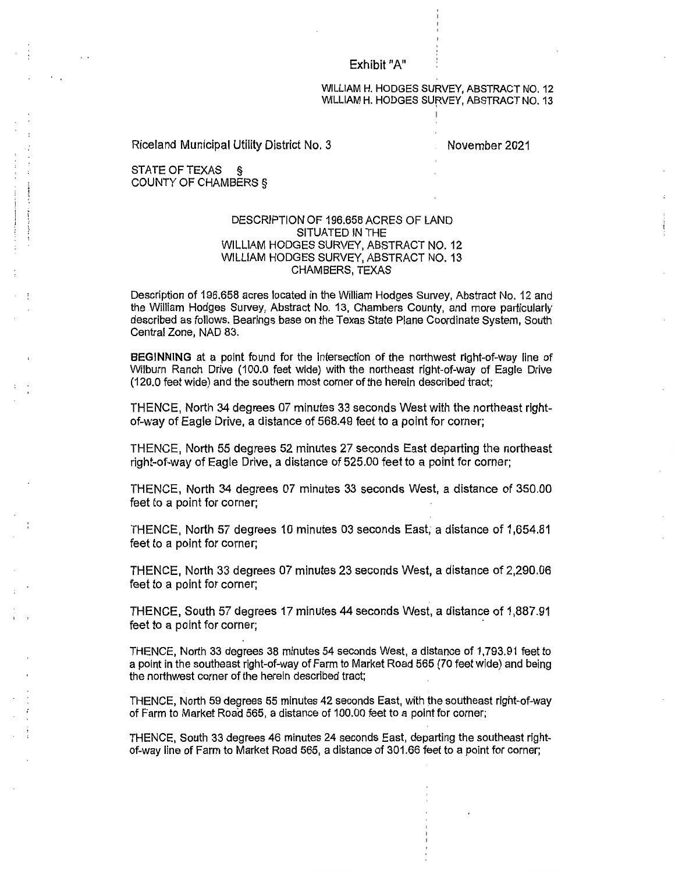#### Exhibit "A"

#### WILLIAM H. HODGES SURVEY, ABSTRACT NO. 12 WILLIAM H. HODGES SURVEY, ABSTRACT NO. 13

Riceland Municipal Utility District No. 3 November 2021

STATE OF TEXAS § COUNTY OF CHAMBERS §

### DESCRIPTION OF 196.658 ACRES OF LAND SITUATED IN THE WILLIAM HODGES SURVEY, ABSTRACT NO. 12 WILLIAM HODGES SURVEY, ABSTRACT N0.13 CHAMBERS, TEXAS

Description of 196.658 acres located in the William Hodges Survey, Abstract No. 12 and the William Hodges Survey, Abstract No. 13, Chambers County, and more particularly described as follows. Bearings base on the Texas State Plane Coordinate System, South Central Zone, NAD 83.

BEGINNING at a point found for the intersection of the northwest right-of-way line of Wilburn Ranch Drive (100.0 feet wide) with the northeast right-of-way of Eagle Drive (120.0 feet wide) and the southern most corner of the herein described tract;

THENCE, North 34 degrees 07 minutes 33 seconds West with the northeast rightof-way of Eagle Drive, a distance of 568.49 feet to a point for corner;

THENCE, North 55 degrees 52 minutes 27 seconds East departing the northeast right-of-way of Eagle Drive, a distance of 525.00 feet to a point for corner;

THENCE, North 34 degrees 07 minutes 33 seconds West, a distance of 350.00 feet to a point for corner;

THENCE, North 57 degrees 10 minutes 03 seconds East, a distance of 1,654.81 feet to a point for corner;

THENCE, North 33 degrees 07 minutes 23 seconds West, a distance of 2,290.06 feet to a point for corner;

THENCE, South 57 degrees 17 minutes 44 seconds West, a distance of 1,887.91 feet to a point for corner;

THENCE, North 33 degrees 38 minutes 54 seconds West, a distance of 1,793.91 feet to a point in the southeast right-of-way of Farm to Market Road 565 (70 feet wide) and being the northwest corner of the herein described tract;

THENCE, North 59 degrees 55 minutes 42 seconds East, with the southeast right-of-way of Farm to Market Road 565, a distance of 100.00 feet to a point for corner;

THENCE, South 33 degrees 46 minutes 24 seconds East, departing the southeast rightof-way line of Farm to Market Road 565, a distance of 301.66 feet to a point for corner;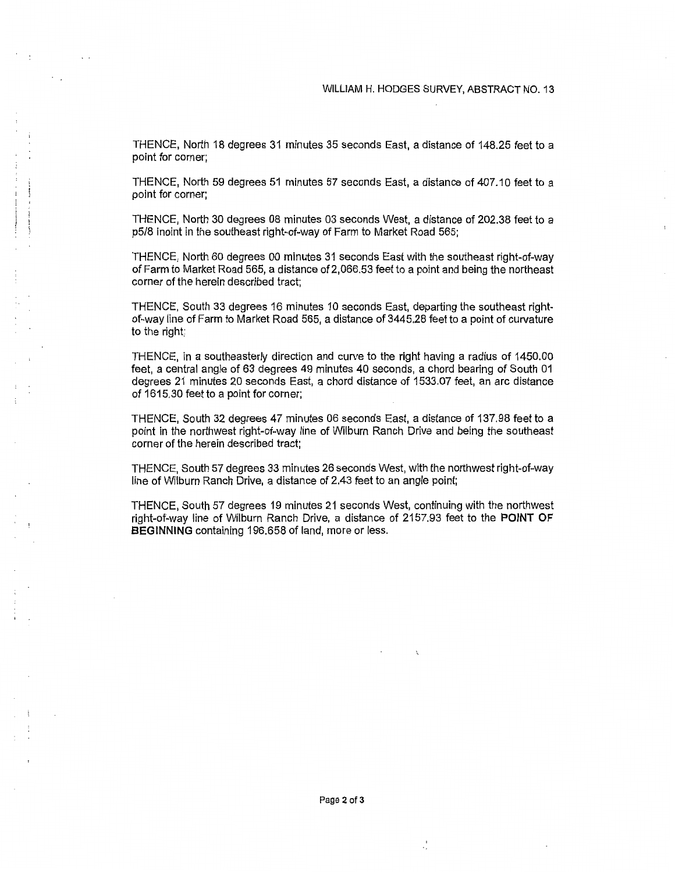$\mathfrak{f}$ 

THENCE, North 18 degrees 31 minutes 35 seconds East, a distance of 148.25 feet to a point for corner;

THENCE, North 59 degrees 51 minutes 57 seconds East, a distance of 407.10 feet to a point for corner;

THENCE, North 30 degrees 08 minutes 03 seconds West, a distance of 202.38 feet to a p5/8 inoint in the southeast right-of-way of Farm to Market Road 565;

THENCE, North 60 degrees 00 minutes 31 seconds East with the southeast right-of-way of Farm to Market Road 565, a distance of 2,066.53 feet to a point and being the northeast corner of the herein described tract;

THENCE, South 33 degrees 16 minutes 10 seconds East, departing the southeast rightof-way line of Farm to Market Road 565, a distance of 3445.28 feet to a point of curvature to the right;

THENCE, in a southeasterly direction and curve to the right having a radius of 1450.00 feet, a central angle of 63 degrees 49 minutes 40 seconds, a chord bearing of South 01 degrees 21 minutes 20 seconds East, a chord distance of 1533.07 feet, an arc distance of 1615.30 feet to a point for corner;

THENCE, South 32 degrees 47 minutes 06 seconds East, a distance of 137.98 feet to a point in the northwest right-of-way line of Wilburn Ranch Drive and being the southeast corner of the herein described tract;

THENCE, South 57 degrees 33 minutes 26 seconds West, with the northwest right-of-way line of Wilburn Ranch Drive, a distance of 2.43 feet to an angle point;

THENCE, South 57 degrees 19 minutes 21 seconds West, continuing with the northwest right-of-way line of Wilburn Ranch Drive, a distance of 2157.93 feet to the **POINT OF BEGINNING** containing 196.658 of land, more or less.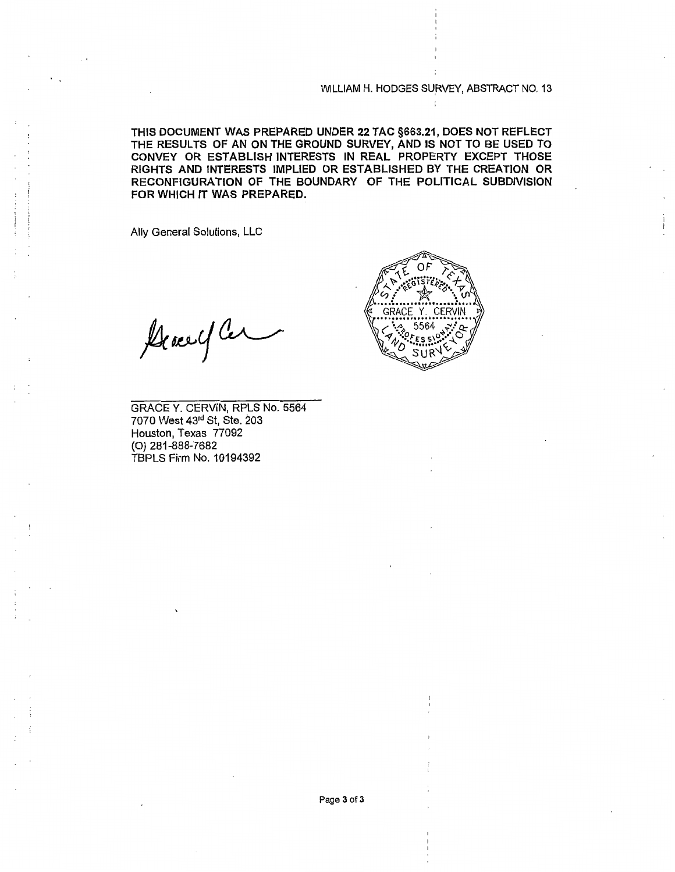WILLIAM H. HODGES SURVEY, ABSTRACT NO. 13

THIS DOCUMENT WAS PREPARED UNDER 22 TAC §663.21, DOES NOT REFLECT THE RESULTS OF AN ON THE GROUND SURVEY, AND IS NOT TO BE USED TO CONVEY OR ESTABLISH INTERESTS IN REAL PROPERTY EXCEPT THOSE RIGHTS AND INTERESTS IMPLIED OR ESTABLISHED BY THE CREATION OR RECONFIGURATION OF THE BOUNDARY OF THE POLITICAL SUBDIVISION FOR WHICH IT WAS PREPARED.

Ally General Solutions, LLC

General Car

GRACEY. CERVIN, RPLS No. 5564 7070 West 43rd St, Ste. 203 Houston, Texas 77092 (0) 281-888-7682 TBPLS Firm No. 10194392

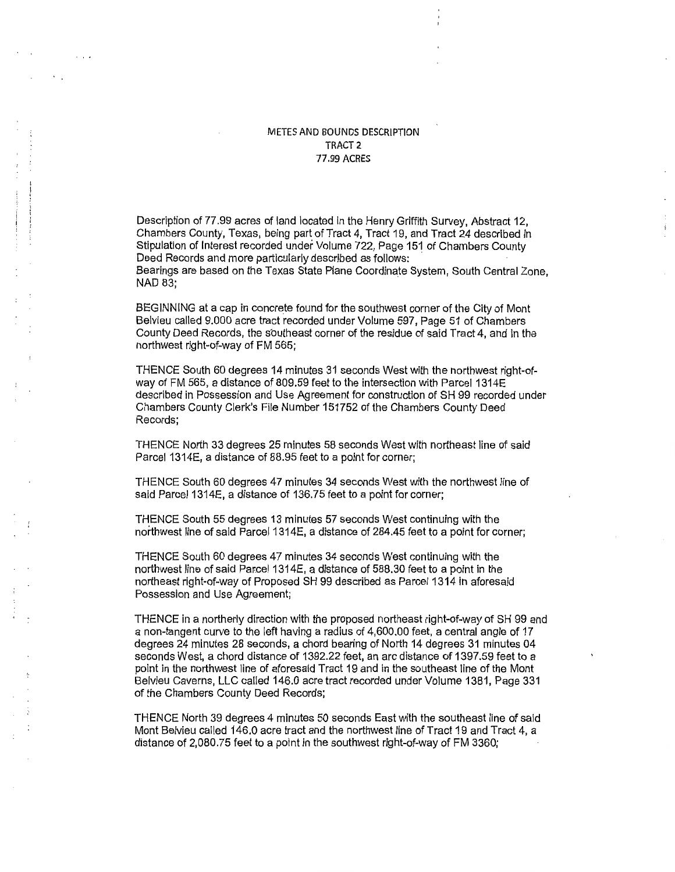## METES AND BOUNDS DESCRIPTION TRACT2 77.99 ACRES

Description of 77.99 acres of land located in the Henry Griffith Survey, Abstract 12, Chambers County, Texas, being part of Tract 4, Tract 19, and Tract 24 described in Stipulation of Interest recorded under Volume 722, Page 151 of Chambers County Deed Records and more particularly described as follows: Bearings are based on the Texas State Plane Coordinate System, South Central Zone, NAD 83;

BEGINNING at a cap in concrete found for the southwest corner of the City of Mont Belvieu called 9.000 acre tract recorded under Volume 597, Page 51 of Chambers County Deed Records, the southeast corner of the residue of said Tract 4, and in the northwest right-of-way of FM 565;

THENCE South 60 degrees 14 minutes 31 seconds West with the northwest right-ofway of FM 565, a distance of 809.59 feet to the intersection with Parcel 1314E described in Possession and Use Agreement for construction of SH 99 recorded under Chambers County Clerk's File Number 151752 of the Chambers County Deed Records;

THENCE North 33 degrees 25 minutes 58 seconds West with northeast line of said Parcel 1314E, a distance of 88.95 feet to a point for corner;

THENCE South 60 degrees 47 minutes 34 seconds West with the northwest line of said Parcel 1314E, a distance of 136.75 feet to a point for corner;

THENCE South 55 degrees 13 minutes 57 seconds West continuing with the northwest line of said Parcel 1314E, a distance of 284.45 feet to a point for corner;

THENCE South 60 degrees 47 minutes 34 seconds West continuing with the northwest line of said Parcel 1314E, a distance of 588.30 feet to a point in the northeast right-of-way of Proposed SH 99 described as Parcel 1314 in aforesaid Possession and Use Agreement;

THENCE in a northerly direction with the proposed northeast right-of-way of SH 99 and a non-tangent curve to the left having a radius of 4,600.00 feet, a central angle of 17 degrees 24 minutes 28 seconds, a chord bearing of North 14 degrees 31 minutes 04 seconds West, a chord distance of 1392.22 feet, an arc distance of 1397.59 feet to a point in the northwest line of aforesaid Tract 19 and in the southeast line of the Mont Belvieu Caverns, LLC called 146.0 acre tract recorded under Volume 1381, Page 331 of the Chambers County Deed Records;

THENCE North 39 degrees 4 minutes 50 seconds East with the southeast line of said Mont Belvieu called 146.0 acre tract and the northwest line of Tract 19 and Tract 4, a distance of 2,080.75 feet to a point in the southwest right-of-way of FM 3360;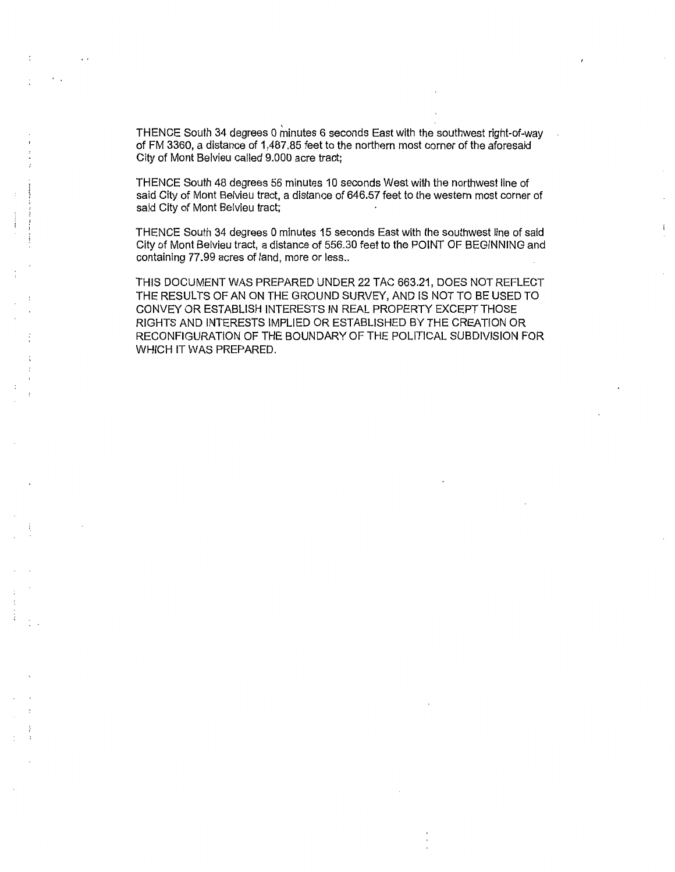THENCE South 34 degrees 0 minutes 6 seconds East with the southwest right-of-way of FM 3360, a distance of 1,487.85 feet to the northern most corner of the aforesaid City of Mont Belvieu called 9.000 acre tract;

THENCE South 48 degrees 56 minutes 10 seconds West with the northwest line of said City of Mont Belvieu tract, a distance of 646.57 feet to the western most corner of said City of Mont Belvieu tract;

THENCE South 34 degrees 0 minutes 15 seconds East with the southwest line of said City of Mont Belvieu tract, a distance of 556.30 feet to the POINT OF BEGINNING and containing 77.99 acres of land, more or less..

I ; į.

> THIS DOCUMENT WAS PREPARED UNDER 22 TAG 663.21, DOES NOT REFLECT THE RESULTS OF AN ON THE GROUND SURVEY, AND IS NOT TO BE USED TO CONVEY OR ESTABLISH INTERESTS IN REAL PROPERTY EXCEPT THOSE RIGHTS AND INTERESTS IMPLIED OR ESTABLISHED BY THE CREATION OR RECONFIGURATION OF THE BOUNDARY OF THE POLITICAL SUBDIVISION FOR WHICH IT WAS PREPARED.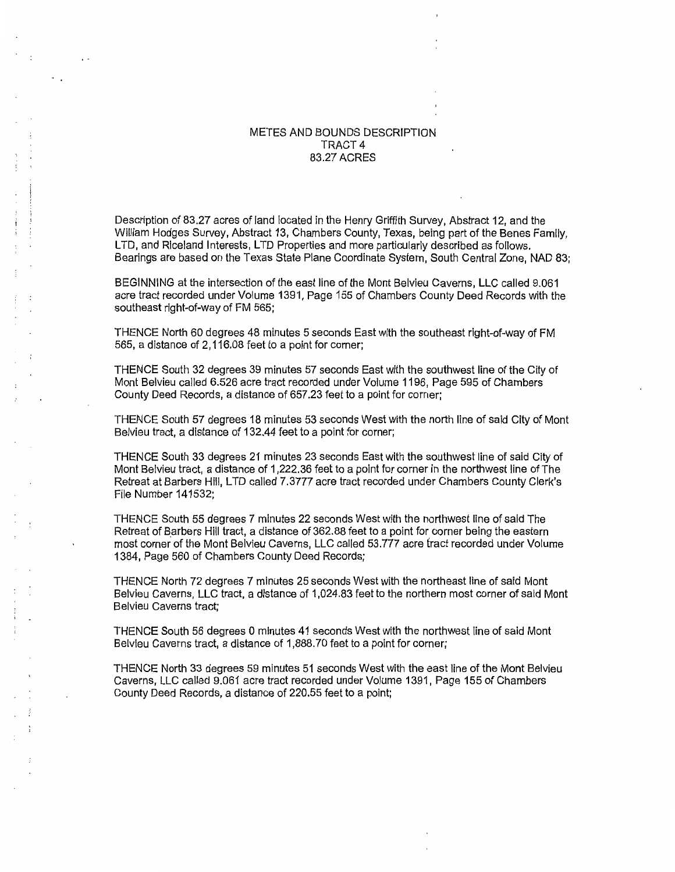### METES AND BOUNDS DESCRIPTION TRACT4 83.27 ACRES

Description of 83.27 acres of land located in the Henry Griffith Survey, Abstract 12, and the William Hodges Survey, Abstract 13, Chambers County, Texas, being part of the Benes Family, LTD, and Riceland Interests, LTD Properties and more particularly described as follows. Bearings are based on the Texas State Plane Coordinate System, South Central Zone, NAD 83;

BEGINNING at the intersection of the east line of the Mont Belvieu Caverns, LLC called 9.061 acre tract recorded under Volume 1391, Page 155 of Chambers County Deed Records with the southeast right-of-way of FM 565;

THENCE North 60 degrees 48 minutes 5 seconds East with the southeast right-of-way of FM 565, a distance of 2,116.08 feet to a point for corner;

THENCE South 32 degrees 39 minutes 57 seconds East with the southwest line of the City of Mont Belvieu called 6.526 acre tract recorded under Volume 1196, Page 595 of Chambers County Deed Records, a distance of 657.23 feet to a point for corner;

THENCE South 57 degrees 18 minutes 53 seconds West with the north line of said City of Mont Belvieu tract, a distance of 132.44 feet to a point for corner;

THENCE South 33 degrees 21 minutes 23 seconds East with the southwest line of said City of Mont Belvieu tract, a distance of 1 ,222.36 feet to a point for corner in the northwest line of The Retreat at Barbers Hill, LTD called 7.3777 acre tract recorded under Chambers County Clerk's File Number 141532;

THENCE South 55 degrees 7 minutes 22 seconds West with the northwest line of said The Retreat of Barbers Hill tract, a distance of 362.88 feet to a point for corner being the eastern most corner of the Mont Belvieu Caverns, LLC called 53.777 acre tract recorded under Volume 1384, Page 560 of Chambers County Deed Records;

THENCE North 72 degrees 7 minutes 25 seconds West with the northeast line of said Mont Belvieu Caverns, LLC tract, a distance of 1,024.83 feet to the northern most corner of said Mont Belvieu Caverns tract;

THENCE South 56 degrees 0 minutes 41 seconds West with the northwest line of said Mont Belvieu Caverns tract, a distance of 1,888.70 feet to a point for corner;

THENCE North 33 degrees 59 minutes 51 seconds West with the east line of the Mont Belvieu Caverns, LLC called 9.061 acre tract recorded under Volume 1391, Page 155 of Chambers County Deed Records, a distance of 220.55 feet to a point;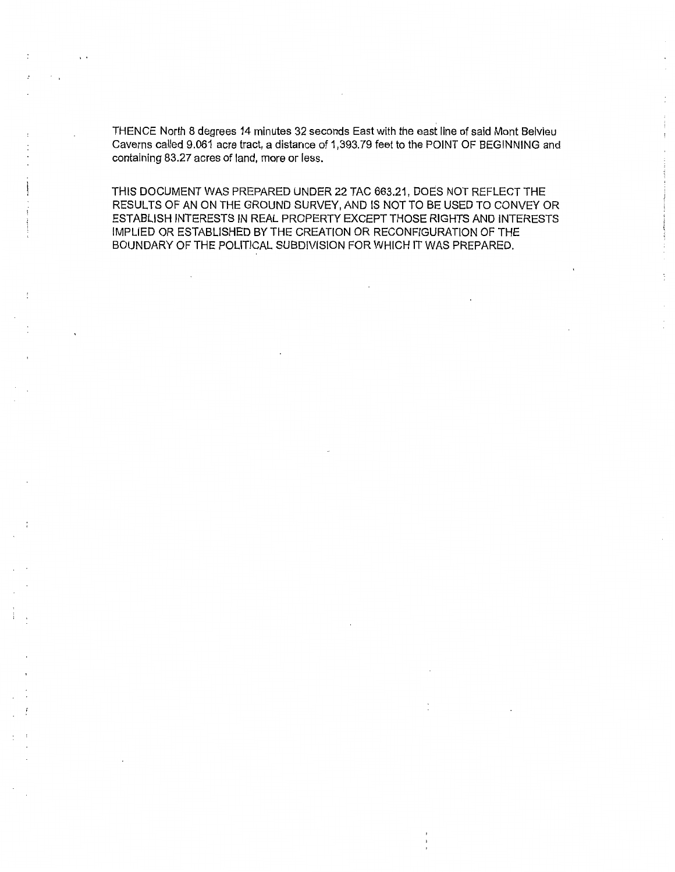THENCE North 8 degrees 14 minutes 32 seconds East with the east line of said Mont Belvieu Caverns called 9.061 acre tract, a distance of 1,393.79 feet to the POINT OF BEGINNING and containing 83.27 acres of land, more or less.

THIS DOCUMENT WAS PREPARED UNDER 22 TAG 663.21, DOES NOT REFLECT THE RESULTS OF AN ON THE GROUND SURVEY, AND IS NOT TO BE USED TO CONVEY OR ESTABLISH INTERESTS IN REAL PROPERTY EXCEPT THOSE RIGHTS AND INTERESTS IMPLIED OR ESTABLISHED BY THE CREATION OR RECONFIGURATION OF THE BOUNDARY OF THE POLITICAL SUBDIVISION FOR WHICH IT WAS PREPARED.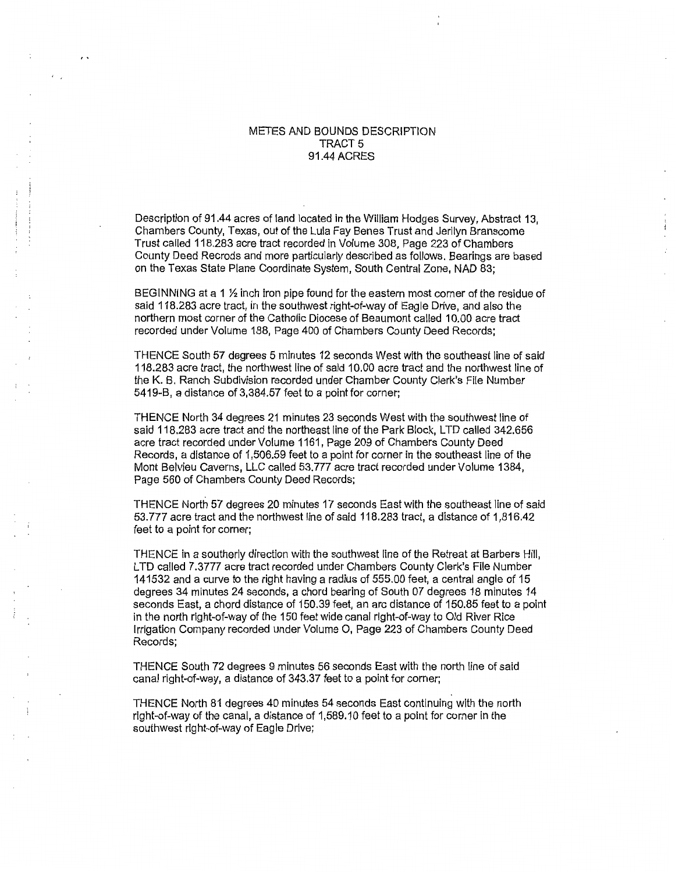### METES AND BOUNDS DESCRIPTION TRACT<sub>5</sub> 91.44 ACRES

Description of 91.44 acres of land located in the William Hodges Survey, Abstract 13, Chambers County, Texas, out of the Lula Fay Benes Trust and Jerilyn Branscome Trust called 118.283 acre tract recorded in Volume 308, Page 223 of Chambers County Deed Recrods and more particularly described as follows. Bearings are based on the Texas State Plane Coordinate System, South Central Zone, NAD 83;

BEGINNING at a 1  $\frac{1}{2}$  inch iron pipe found for the eastern most corner of the residue of said 118.283 acre tract, in the southwest right-of-way of Eagle Drive, and also the northern most corner of the Catholic Diocese of Beaumont called 10.00 acre tract recorded under Volume 188, Page 400 of Chambers County Deed Records;

THENCE South 57 degrees 5 minutes 12 seconds West with the southeast line of said 118.283 acre tract, the northwest line of said 1 0.00 acre tract and the northwest line of the K. B. Ranch Subdivision recorded under Chamber County Clerk's File Number 5419-B, a distance of 3,384.57 feet to a point for corner;

THENCE North 34 degrees 21 minutes 23 seconds West with the southwest line of said 118.283 acre tract and the northeast line of the Park Block, LTD called 342.656 acre tract recorded under Volume 1161, Page 209 of Chambers County Deed Records, a distance of 1,506.59 feet to a point for corner in the southeast line of the Mont Belvieu Caverns, LLC called 53.777 acre tract recorded under Volume 1384, Page 560 of Chambers County Deed Records;

THENCE North 57 degrees 20 minutes 17 seconds East with the southeast line of said 53.777 acre tract and the northwest line of said 118.283 tract, a distance of 1,816.42 feet to a point for corner;

THENCE in a southerly direction with the southwest line of the Retreat at Barbers Hill, LTD called 7.3777 acre tract recorded under Chambers County Clerk's File Number 141532 and a curve to the right having a radius of 555.00 feet, a central angle of 15 degrees 34 minutes 24 seconds, a chord bearing of South 07 degrees 18 minutes 14 seconds East, a chord distance of 150.39 feet, an arc distance of 150.85 feet to a point in the north right-of-way of the 150 feet wide canal right-of-way to Old River Rice Irrigation Company recorded under Volume 0, Page 223 of Chambers County Deed Records;

THENCE South 72 degrees 9 minutes 56 seconds East with the north line of said canal right-of-way, a distance of 343.37 feet to a point for corner;

THENCE North 81 degrees 40 minutes 54 seconds East continuing with the north right-of-way of the canal, a distance of 1,589.10 feet to a point for corner in the southwest right-of-way of Eagle Drive;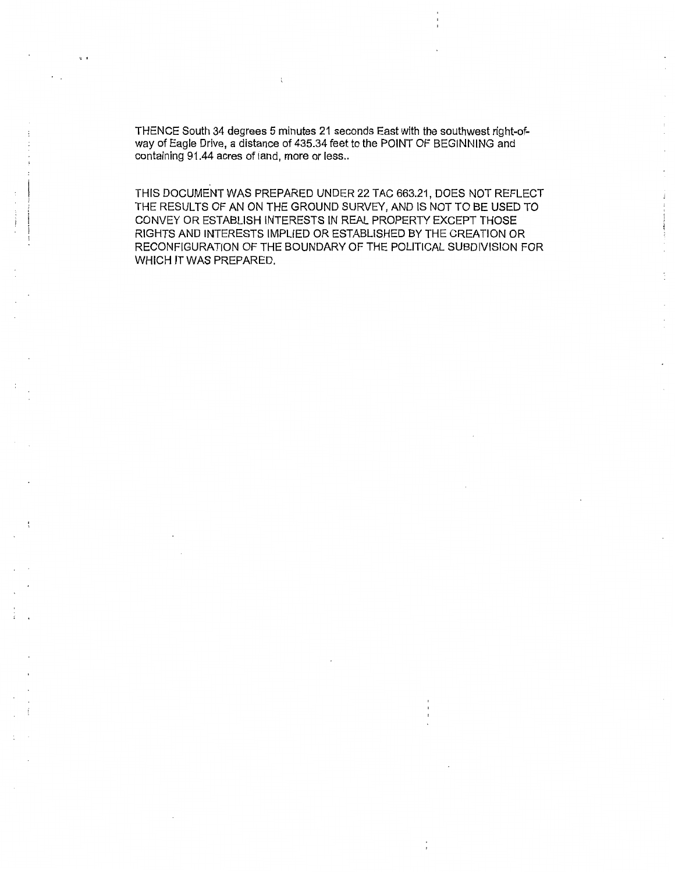THENCE South 34 degrees 5 minutes 21 seconds East with the southwest right-ofway of Eagle Drive, a distance of 435.34 feet to the POINT OF BEGINNING and containing 91.44 acres of land, more or less..

THIS DOCUMENT WAS PREPARED UNDER 22 TAC 663.21, DOES NOT REFLECT THE RESULTS OF AN ON THE GROUND SURVEY, AND IS NOT TO BE USED TO CONVEY OR ESTABLISH INTERESTS IN REAL PROPERTY EXCEPT THOSE RIGHTS AND INTERESTS IMPLIED OR ESTABLISHED BY THE CREATION OR RECONFIGURATION OF THE BOUNDARY OF THE POLITICAL SUBDIVISION FOR WHICH IT WAS PREPARED.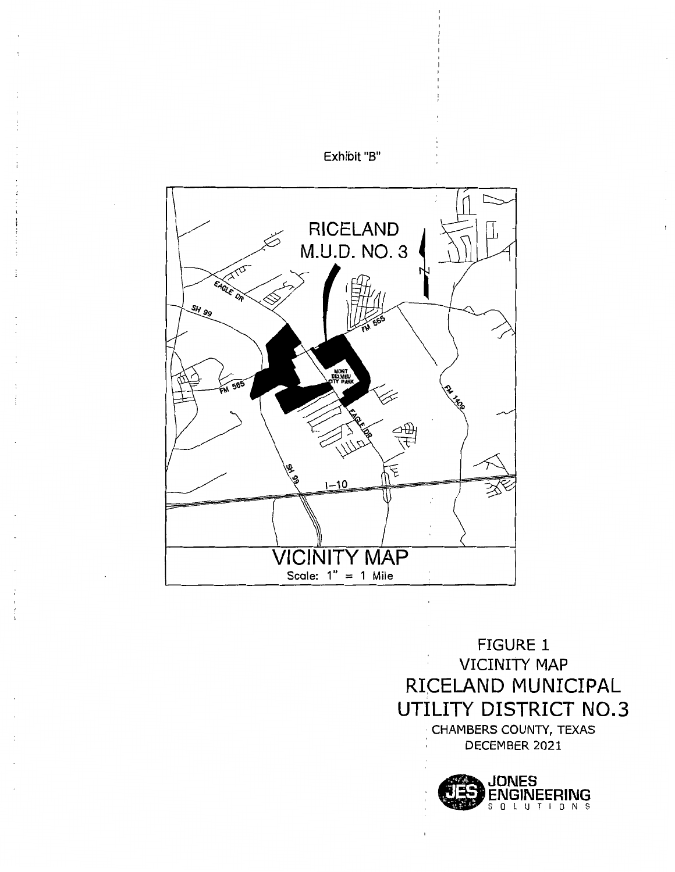



FIGURE 1 VICINITY MAP RICELAND MUNICIPAL UTILITY DISTRICT N0.3 · CHAMBERS COUNTY, TEXAS , DECEMBER 2021